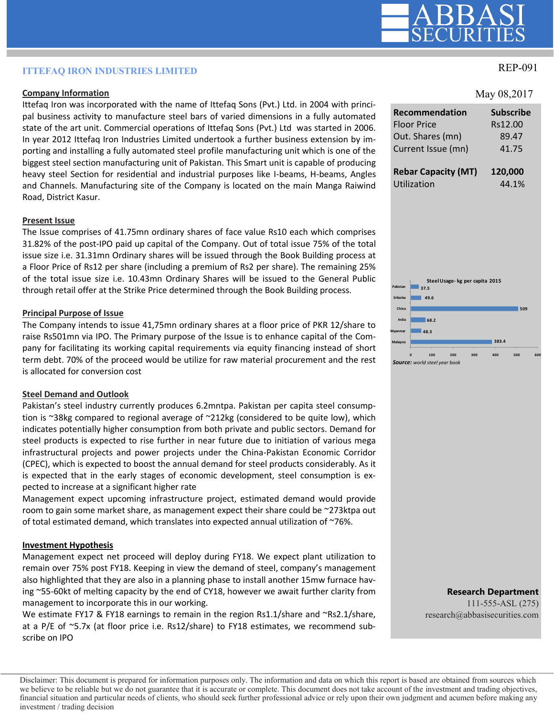# REP-091 **ITTEFAQ IRON INDUSTRIES LIMITED**

## **Company Information**

Ittefaq Iron was incorporated with the name of Ittefaq Sons (Pvt.) Ltd. in 2004 with principal business activity to manufacture steel bars of varied dimensions in a fully automated state of the art unit. Commercial operations of Ittefaq Sons (Pvt.) Ltd was started in 2006. In year 2012 Ittefaq Iron Industries Limited undertook a further business extension by importing and installing a fully automated steel profile manufacturing unit which is one of the biggest steel section manufacturing unit of Pakistan. This Smart unit is capable of producing heavy steel Section for residential and industrial purposes like I-beams, H-beams, Angles and Channels. Manufacturing site of the Company is located on the main Manga Raiwind Road, District Kasur.

### **Present Issue**

The Issue comprises of 41.75mn ordinary shares of face value Rs10 each which comprises 31.82% of the post-IPO paid up capital of the Company. Out of total issue 75% of the total issue size i.e. 31.31mn Ordinary shares will be issued through the Book Building process at a Floor Price of Rs12 per share (including a premium of Rs2 per share). The remaining 25% of the total issue size i.e. 10.43mn Ordinary Shares will be issued to the General Public through retail offer at the Strike Price determined through the Book Building process.

### **Principal Purpose of Issue**

The Company intends to issue 41,75mn ordinary shares at a floor price of PKR 12/share to raise Rs501mn via IPO. The Primary purpose of the Issue is to enhance capital of the Company for facilitating its working capital requirements via equity financing instead of short term debt. 70% of the proceed would be utilize for raw material procurement and the rest is allocated for conversion cost

### **Steel Demand and Outlook**

Pakistan's steel industry currently produces 6.2mntpa. Pakistan per capita steel consumption is ~38kg compared to regional average of ~212kg (considered to be quite low), which indicates potentially higher consumption from both private and public sectors. Demand for steel products is expected to rise further in near future due to initiation of various mega infrastructural projects and power projects under the China-Pakistan Economic Corridor (CPEC), which is expected to boost the annual demand for steel products considerably. As it is expected that in the early stages of economic development, steel consumption is expected to increase at a significant higher rate

Management expect upcoming infrastructure project, estimated demand would provide room to gain some market share, as management expect their share could be ~273ktpa out of total estimated demand, which translates into expected annual utilization of ~76%.

## **Investment Hypothesis**

Management expect net proceed will deploy during FY18. We expect plant utilization to remain over 75% post FY18. Keeping in view the demand of steel, company's management also highlighted that they are also in a planning phase to install another 15mw furnace having ~55-60kt of melting capacity by the end of CY18, however we await further clarity from management to incorporate this in our working.

We estimate FY17 & FY18 earnings to remain in the region Rs1.1/share and ~Rs2.1/share, at a P/E of ~5.7x (at floor price i.e. Rs12/share) to FY18 estimates, we recommend subscribe on IPO

### May 08,2017

| <b>Recommendation</b>      | <b>Subscribe</b> |
|----------------------------|------------------|
| <b>Floor Price</b>         | Rs12.00          |
| Out. Shares (mn)           | 89.47            |
| Current Issue (mn)         | 41.75            |
| <b>Rebar Capacity (MT)</b> | 120,000          |
| Utilization                | 44.1%            |



**Research Department** 111-555-ASL (275) research@abbasisecurities.com

#### Disclaimer: This document is prepared for information purposes only. The information and data on which this report is based are obtained from sources which we believe to be reliable but we do not guarantee that it is accurate or complete. This document does not take account of the investment and trading objectives, financial situation and particular needs of clients, who should seek further professional advice or rely upon their own judgment and acumen before making any investment / trading decision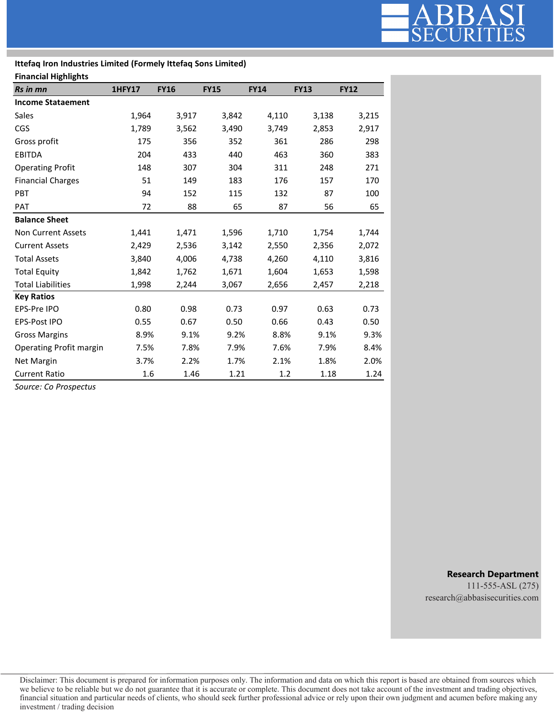

## **Ittefaq Iron Industries Limited (Formely Ittefaq Sons Limited)**

### **Financial Highlights**

| Rs in mn                  | <b>1HFY17</b> | <b>FY16</b> | <b>FY15</b> | <b>FY14</b> | <b>FY13</b> | <b>FY12</b> |
|---------------------------|---------------|-------------|-------------|-------------|-------------|-------------|
| <b>Income Stataement</b>  |               |             |             |             |             |             |
| Sales                     | 1,964         | 3,917       | 3,842       | 4,110       | 3,138       | 3,215       |
| CGS                       | 1,789         | 3,562       | 3,490       | 3,749       | 2,853       | 2,917       |
| Gross profit              | 175           | 356         | 352         | 361         | 286         | 298         |
| <b>EBITDA</b>             | 204           | 433         | 440         | 463         | 360         | 383         |
| <b>Operating Profit</b>   | 148           | 307         | 304         | 311         | 248         | 271         |
| <b>Financial Charges</b>  | 51            | 149         | 183         | 176         | 157         | 170         |
| <b>PBT</b>                | 94            | 152         | 115         | 132         | 87          | 100         |
| <b>PAT</b>                | 72            | 88          | 65          | 87          | 56          | 65          |
| <b>Balance Sheet</b>      |               |             |             |             |             |             |
| <b>Non Current Assets</b> | 1,441         | 1,471       | 1,596       | 1,710       | 1,754       | 1,744       |
| <b>Current Assets</b>     | 2,429         | 2,536       | 3,142       | 2,550       | 2,356       | 2,072       |
| <b>Total Assets</b>       | 3,840         | 4,006       | 4,738       | 4,260       | 4,110       | 3,816       |
| <b>Total Equity</b>       | 1,842         | 1,762       | 1,671       | 1,604       | 1,653       | 1,598       |
| <b>Total Liabilities</b>  | 1,998         | 2,244       | 3,067       | 2,656       | 2,457       | 2,218       |
| <b>Key Ratios</b>         |               |             |             |             |             |             |
| EPS-Pre IPO               | 0.80          | 0.98        | 0.73        | 0.97        | 0.63        | 0.73        |
| EPS-Post IPO              | 0.55          | 0.67        | 0.50        | 0.66        | 0.43        | 0.50        |
| <b>Gross Margins</b>      | 8.9%          | 9.1%        | 9.2%        | 8.8%        | 9.1%        | 9.3%        |
| Operating Profit margin   | 7.5%          | 7.8%        | 7.9%        | 7.6%        | 7.9%        | 8.4%        |
| Net Margin                | 3.7%          | 2.2%        | 1.7%        | 2.1%        | 1.8%        | 2.0%        |
| <b>Current Ratio</b>      | 1.6           | 1.46        | 1.21        | 1.2         | 1.18        | 1.24        |

*Source: Co Prospectus*

**Research Department**

111-555-ASL (275) research@abbasisecurities.com

Disclaimer: This document is prepared for information purposes only. The information and data on which this report is based are obtained from sources which we believe to be reliable but we do not guarantee that it is accurate or complete. This document does not take account of the investment and trading objectives, financial situation and particular needs of clients, who should seek further professional advice or rely upon their own judgment and acumen before making any investment / trading decision